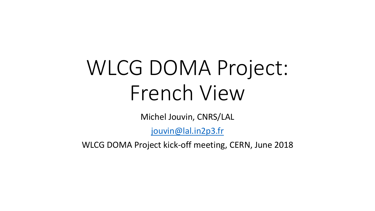# WLCG DOMA Project: French View

Michel Jouvin, CNRS/LAL

[jouvin@lal.in2p3.fr](mailto:jouvin@lal.in2p3.fr)

WLCG DOMA Project kick-off meeting, CERN, June 2018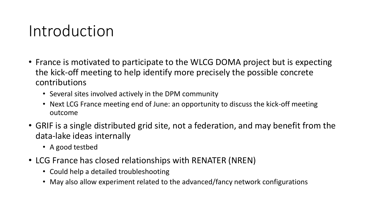#### Introduction

- France is motivated to participate to the WLCG DOMA project but is expecting the kick-off meeting to help identify more precisely the possible concrete contributions
	- Several sites involved actively in the DPM community
	- Next LCG France meeting end of June: an opportunity to discuss the kick-off meeting outcome
- GRIF is a single distributed grid site, not a federation, and may benefit from the data-lake ideas internally
	- A good testbed
- LCG France has closed relationships with RENATER (NREN)
	- Could help a detailed troubleshooting
	- May also allow experiment related to the advanced/fancy network configurations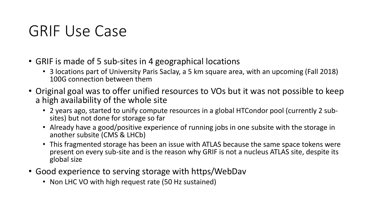### GRIF Use Case

- GRIF is made of 5 sub-sites in 4 geographical locations
	- 3 locations part of University Paris Saclay, a 5 km square area, with an upcoming (Fall 2018) 100G connection between them
- Original goal was to offer unified resources to VOs but it was not possible to keep a high availability of the whole site
	- 2 years ago, started to unify compute resources in a global HTCondor pool (currently 2 subsites) but not done for storage so far
	- Already have a good/positive experience of running jobs in one subsite with the storage in another subsite (CMS & LHCb)
	- This fragmented storage has been an issue with ATLAS because the same space tokens were present on every sub-site and is the reason why GRIF is not a nucleus ATLAS site, despite its global size
- Good experience to serving storage with https/WebDav
	- Non LHC VO with high request rate (50 Hz sustained)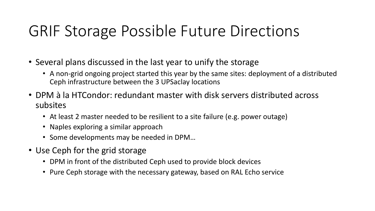## GRIF Storage Possible Future Directions

- Several plans discussed in the last year to unify the storage
	- A non-grid ongoing project started this year by the same sites: deployment of a distributed Ceph infrastructure between the 3 UPSaclay locations
- DPM à la HTCondor: redundant master with disk servers distributed across subsites
	- At least 2 master needed to be resilient to a site failure (e.g. power outage)
	- Naples exploring a similar approach
	- Some developments may be needed in DPM…
- Use Ceph for the grid storage
	- DPM in front of the distributed Ceph used to provide block devices
	- Pure Ceph storage with the necessary gateway, based on RAL Echo service